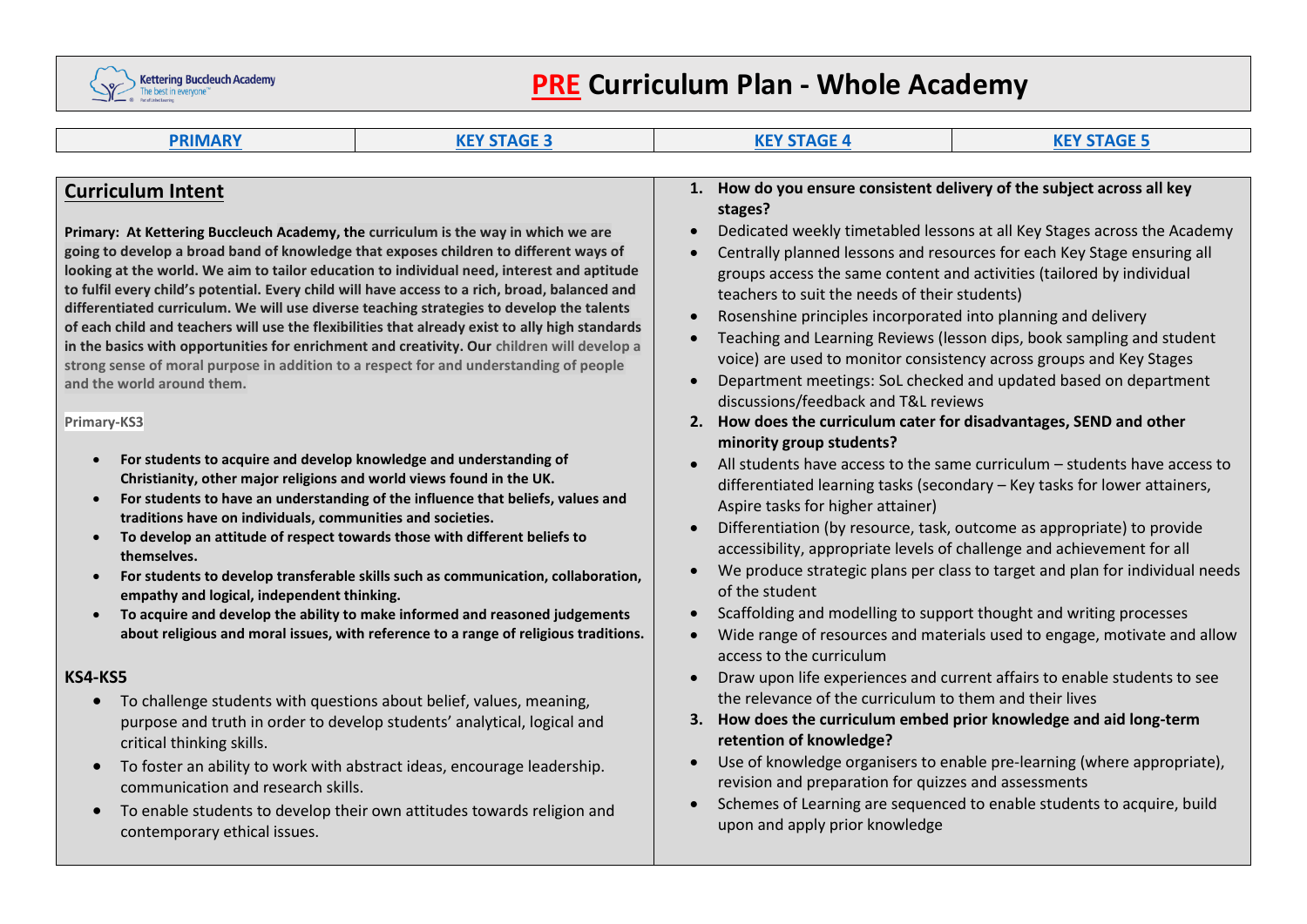

# **PRE Curriculum Plan - Whole Academy**

| <b>PRIMARY</b><br><b>KEY STAGE 3</b>                                                                                                                                                                                                                                                                                                                                                                                                                                                                                                                                                                                                                                                                                                                                                                                                                                                                                                                                                                                                                                                                                                                                                                                                                                                                                                                                                                                                                                                                                                                                                                                                                                                                                                                                                                                                                                                                                                                                                                                                     | <b>KEY STAGE 4</b>                                                                                                                                                                                                                                                                                                                                                                                                                                                                                                                                                                                                                                                                     | <b>KEY STAGE 5</b>                                                                                                                                                                                                                                                                                                                                                                                                                                                                                                                                                                                                                                                                                                                                                                                                                                                                                                                                                                                                                                                                                                                                                                                                                |
|------------------------------------------------------------------------------------------------------------------------------------------------------------------------------------------------------------------------------------------------------------------------------------------------------------------------------------------------------------------------------------------------------------------------------------------------------------------------------------------------------------------------------------------------------------------------------------------------------------------------------------------------------------------------------------------------------------------------------------------------------------------------------------------------------------------------------------------------------------------------------------------------------------------------------------------------------------------------------------------------------------------------------------------------------------------------------------------------------------------------------------------------------------------------------------------------------------------------------------------------------------------------------------------------------------------------------------------------------------------------------------------------------------------------------------------------------------------------------------------------------------------------------------------------------------------------------------------------------------------------------------------------------------------------------------------------------------------------------------------------------------------------------------------------------------------------------------------------------------------------------------------------------------------------------------------------------------------------------------------------------------------------------------------|----------------------------------------------------------------------------------------------------------------------------------------------------------------------------------------------------------------------------------------------------------------------------------------------------------------------------------------------------------------------------------------------------------------------------------------------------------------------------------------------------------------------------------------------------------------------------------------------------------------------------------------------------------------------------------------|-----------------------------------------------------------------------------------------------------------------------------------------------------------------------------------------------------------------------------------------------------------------------------------------------------------------------------------------------------------------------------------------------------------------------------------------------------------------------------------------------------------------------------------------------------------------------------------------------------------------------------------------------------------------------------------------------------------------------------------------------------------------------------------------------------------------------------------------------------------------------------------------------------------------------------------------------------------------------------------------------------------------------------------------------------------------------------------------------------------------------------------------------------------------------------------------------------------------------------------|
|                                                                                                                                                                                                                                                                                                                                                                                                                                                                                                                                                                                                                                                                                                                                                                                                                                                                                                                                                                                                                                                                                                                                                                                                                                                                                                                                                                                                                                                                                                                                                                                                                                                                                                                                                                                                                                                                                                                                                                                                                                          |                                                                                                                                                                                                                                                                                                                                                                                                                                                                                                                                                                                                                                                                                        |                                                                                                                                                                                                                                                                                                                                                                                                                                                                                                                                                                                                                                                                                                                                                                                                                                                                                                                                                                                                                                                                                                                                                                                                                                   |
| <b>Curriculum Intent</b><br>Primary: At Kettering Buccleuch Academy, the curriculum is the way in which we are<br>going to develop a broad band of knowledge that exposes children to different ways of<br>looking at the world. We aim to tailor education to individual need, interest and aptitude<br>to fulfil every child's potential. Every child will have access to a rich, broad, balanced and<br>differentiated curriculum. We will use diverse teaching strategies to develop the talents<br>of each child and teachers will use the flexibilities that already exist to ally high standards<br>in the basics with opportunities for enrichment and creativity. Our children will develop a<br>strong sense of moral purpose in addition to a respect for and understanding of people<br>and the world around them.<br>Primary-KS3<br>For students to acquire and develop knowledge and understanding of<br>Christianity, other major religions and world views found in the UK.<br>For students to have an understanding of the influence that beliefs, values and<br>$\bullet$<br>traditions have on individuals, communities and societies.<br>To develop an attitude of respect towards those with different beliefs to<br>$\bullet$<br>themselves.<br>For students to develop transferable skills such as communication, collaboration,<br>$\bullet$<br>empathy and logical, independent thinking.<br>To acquire and develop the ability to make informed and reasoned judgements<br>$\bullet$<br>about religious and moral issues, with reference to a range of religious traditions.<br>KS4-KS5<br>To challenge students with questions about belief, values, meaning,<br>purpose and truth in order to develop students' analytical, logical and<br>critical thinking skills.<br>To foster an ability to work with abstract ideas, encourage leadership.<br>$\bullet$<br>communication and research skills.<br>To enable students to develop their own attitudes towards religion and<br>contemporary ethical issues. | 1. How do you ensure consistent delivery of the subject across all key<br>stages?<br>teachers to suit the needs of their students)<br>Rosenshine principles incorporated into planning and delivery<br>discussions/feedback and T&L reviews<br>2. How does the curriculum cater for disadvantages, SEND and other<br>minority group students?<br>Aspire tasks for higher attainer)<br>of the student<br>access to the curriculum<br>the relevance of the curriculum to them and their lives<br>3. How does the curriculum embed prior knowledge and aid long-term<br>retention of knowledge?<br>revision and preparation for quizzes and assessments<br>upon and apply prior knowledge | Dedicated weekly timetabled lessons at all Key Stages across the Academy<br>Centrally planned lessons and resources for each Key Stage ensuring all<br>groups access the same content and activities (tailored by individual<br>Teaching and Learning Reviews (lesson dips, book sampling and student<br>voice) are used to monitor consistency across groups and Key Stages<br>Department meetings: SoL checked and updated based on department<br>All students have access to the same curriculum - students have access to<br>differentiated learning tasks (secondary - Key tasks for lower attainers,<br>Differentiation (by resource, task, outcome as appropriate) to provide<br>accessibility, appropriate levels of challenge and achievement for all<br>We produce strategic plans per class to target and plan for individual needs<br>Scaffolding and modelling to support thought and writing processes<br>Wide range of resources and materials used to engage, motivate and allow<br>Draw upon life experiences and current affairs to enable students to see<br>Use of knowledge organisers to enable pre-learning (where appropriate),<br>Schemes of Learning are sequenced to enable students to acquire, build |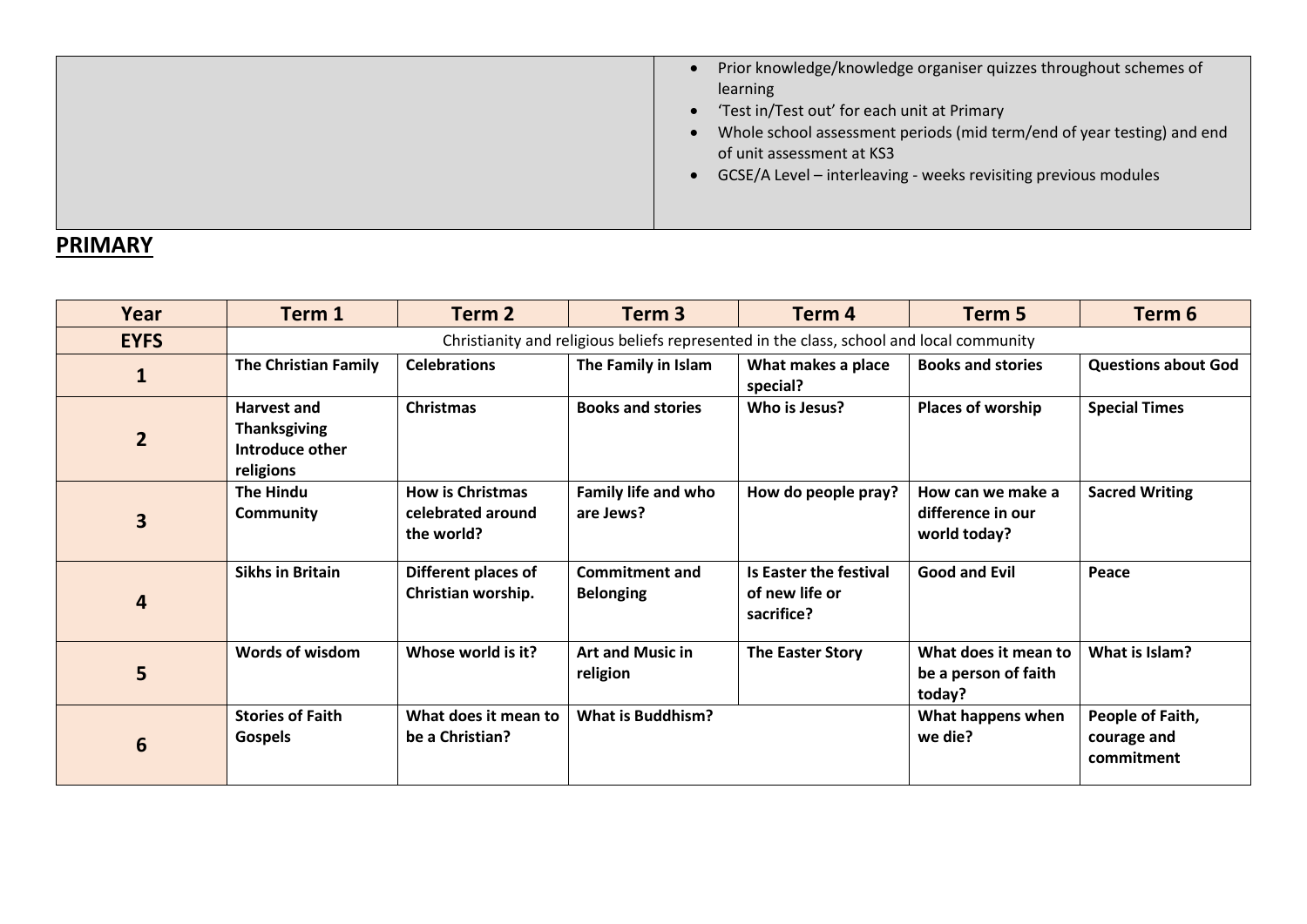### <span id="page-1-0"></span>**PRIMARY**

<span id="page-1-1"></span>

| Year           | Term 1                                                                                  | Term 2                                                     | Term <sub>3</sub>                         | Term <sub>4</sub>                                      | Term <sub>5</sub>                                      | Term 6                                        |
|----------------|-----------------------------------------------------------------------------------------|------------------------------------------------------------|-------------------------------------------|--------------------------------------------------------|--------------------------------------------------------|-----------------------------------------------|
| <b>EYFS</b>    | Christianity and religious beliefs represented in the class, school and local community |                                                            |                                           |                                                        |                                                        |                                               |
| $\mathbf{1}$   | <b>The Christian Family</b>                                                             | <b>Celebrations</b>                                        | The Family in Islam                       | What makes a place<br>special?                         | <b>Books and stories</b>                               | <b>Questions about God</b>                    |
| $\overline{2}$ | <b>Harvest and</b><br><b>Thanksgiving</b><br>Introduce other<br>religions               | <b>Christmas</b>                                           | <b>Books and stories</b>                  | Who is Jesus?                                          | <b>Places of worship</b>                               | <b>Special Times</b>                          |
| 3              | The Hindu<br><b>Community</b>                                                           | <b>How is Christmas</b><br>celebrated around<br>the world? | Family life and who<br>are Jews?          | How do people pray?                                    | How can we make a<br>difference in our<br>world today? | <b>Sacred Writing</b>                         |
| 4              | <b>Sikhs in Britain</b>                                                                 | Different places of<br>Christian worship.                  | <b>Commitment and</b><br><b>Belonging</b> | Is Easter the festival<br>of new life or<br>sacrifice? | <b>Good and Evil</b>                                   | Peace                                         |
| 5              | Words of wisdom                                                                         | Whose world is it?                                         | <b>Art and Music in</b><br>religion       | <b>The Easter Story</b>                                | What does it mean to<br>be a person of faith<br>today? | What is Islam?                                |
| 6              | <b>Stories of Faith</b><br><b>Gospels</b>                                               | What does it mean to<br>be a Christian?                    | <b>What is Buddhism?</b>                  |                                                        | What happens when<br>we die?                           | People of Faith,<br>courage and<br>commitment |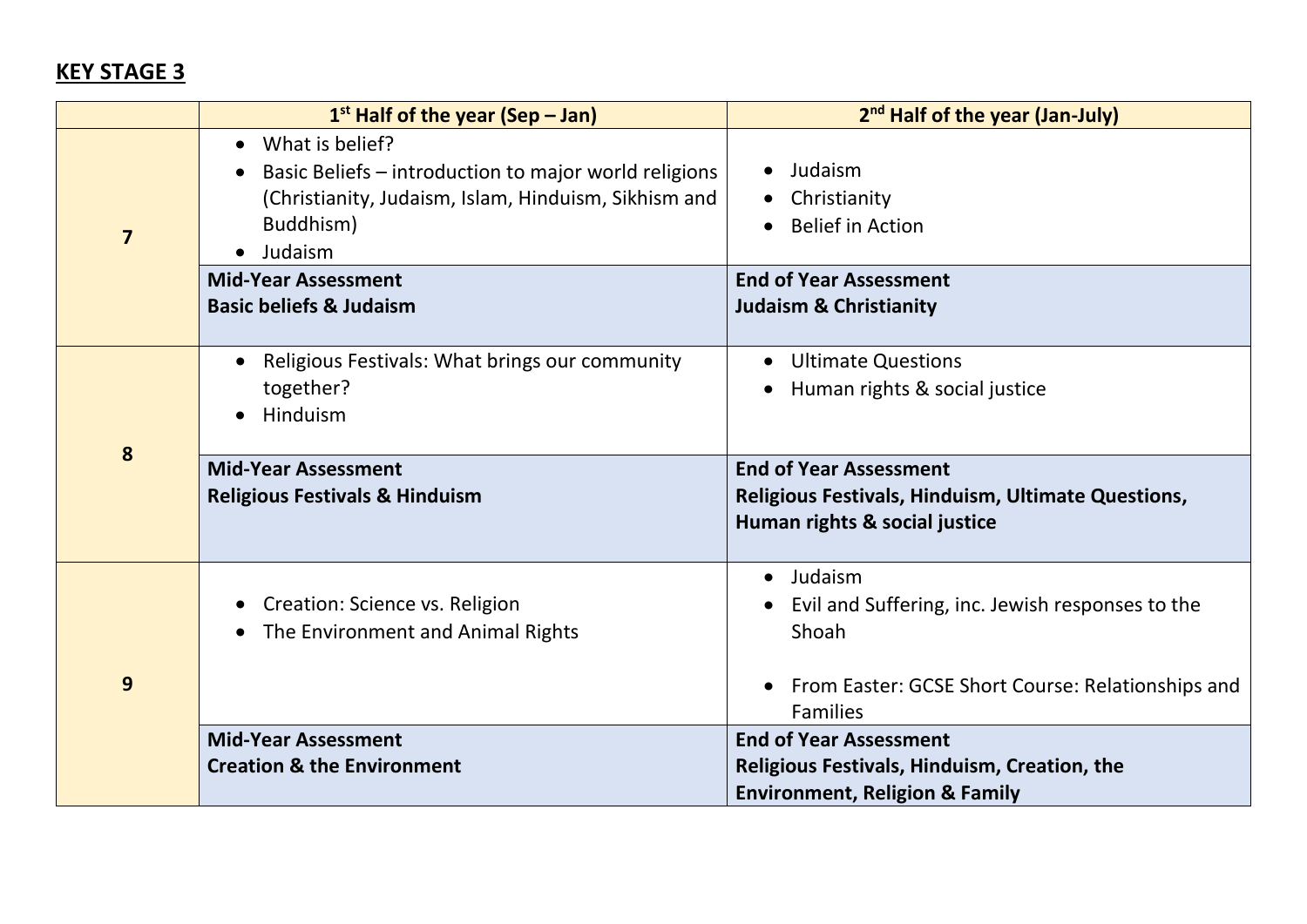## **KEY STAGE 3**

|                         | $1st$ Half of the year (Sep – Jan)                                                                                                                                                              | 2 <sup>nd</sup> Half of the year (Jan-July)                                                                          |
|-------------------------|-------------------------------------------------------------------------------------------------------------------------------------------------------------------------------------------------|----------------------------------------------------------------------------------------------------------------------|
| $\overline{\mathbf{z}}$ | What is belief?<br>$\bullet$<br>Basic Beliefs - introduction to major world religions<br>$\bullet$<br>(Christianity, Judaism, Islam, Hinduism, Sikhism and<br>Buddhism)<br>Judaism<br>$\bullet$ | Judaism<br>$\bullet$<br>Christianity<br><b>Belief in Action</b>                                                      |
|                         | <b>Mid-Year Assessment</b><br><b>Basic beliefs &amp; Judaism</b>                                                                                                                                | <b>End of Year Assessment</b><br><b>Judaism &amp; Christianity</b>                                                   |
|                         | Religious Festivals: What brings our community<br>$\bullet$<br>together?<br>Hinduism                                                                                                            | <b>Ultimate Questions</b><br>$\bullet$<br>Human rights & social justice<br>$\bullet$                                 |
| 8                       | <b>Mid-Year Assessment</b><br><b>Religious Festivals &amp; Hinduism</b>                                                                                                                         | <b>End of Year Assessment</b><br>Religious Festivals, Hinduism, Ultimate Questions,<br>Human rights & social justice |
|                         | Creation: Science vs. Religion<br>The Environment and Animal Rights<br>$\bullet$                                                                                                                | Judaism<br>$\bullet$<br>Evil and Suffering, inc. Jewish responses to the<br>Shoah                                    |
| 9                       |                                                                                                                                                                                                 | From Easter: GCSE Short Course: Relationships and<br><b>Families</b>                                                 |
|                         | <b>Mid-Year Assessment</b>                                                                                                                                                                      | <b>End of Year Assessment</b>                                                                                        |
|                         | <b>Creation &amp; the Environment</b>                                                                                                                                                           | Religious Festivals, Hinduism, Creation, the<br><b>Environment, Religion &amp; Family</b>                            |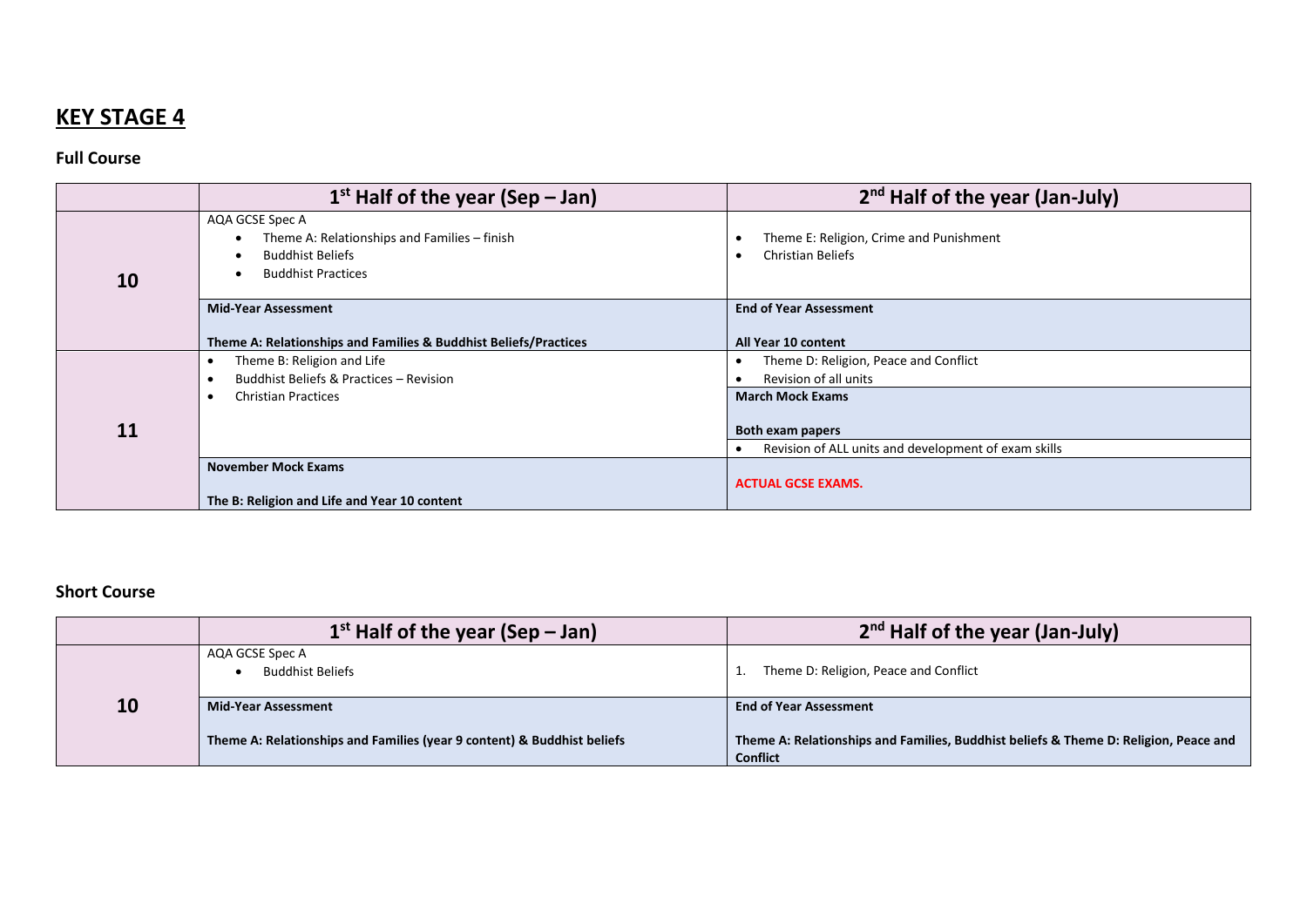# <span id="page-3-0"></span>**KEY STAGE 4**

#### **Full Course**

|    | $1st$ Half of the year (Sep – Jan)                               | $2nd$ Half of the year (Jan-July)                    |
|----|------------------------------------------------------------------|------------------------------------------------------|
|    | AQA GCSE Spec A                                                  |                                                      |
|    | Theme A: Relationships and Families - finish                     | Theme E: Religion, Crime and Punishment              |
|    | <b>Buddhist Beliefs</b><br>$\bullet$                             | <b>Christian Beliefs</b>                             |
| 10 | <b>Buddhist Practices</b><br>$\bullet$                           |                                                      |
|    |                                                                  |                                                      |
|    | <b>Mid-Year Assessment</b>                                       | <b>End of Year Assessment</b>                        |
|    |                                                                  |                                                      |
|    | Theme A: Relationships and Families & Buddhist Beliefs/Practices | All Year 10 content                                  |
|    | Theme B: Religion and Life                                       | Theme D: Religion, Peace and Conflict                |
|    | Buddhist Beliefs & Practices - Revision<br>٠                     | Revision of all units                                |
|    | <b>Christian Practices</b>                                       | <b>March Mock Exams</b>                              |
|    |                                                                  |                                                      |
| 11 |                                                                  | <b>Both exam papers</b>                              |
|    |                                                                  | Revision of ALL units and development of exam skills |
|    | <b>November Mock Exams</b>                                       |                                                      |
|    |                                                                  | <b>ACTUAL GCSE EXAMS.</b>                            |
|    | The B: Religion and Life and Year 10 content                     |                                                      |

#### **Short Course**

|                                  | $1st$ Half of the year (Sep – Jan)                                      | $2nd$ Half of the year (Jan-July)                                                                       |
|----------------------------------|-------------------------------------------------------------------------|---------------------------------------------------------------------------------------------------------|
|                                  | AQA GCSE Spec A<br><b>Buddhist Beliefs</b>                              | Theme D: Religion, Peace and Conflict                                                                   |
| 10<br><b>Mid-Year Assessment</b> |                                                                         | <b>End of Year Assessment</b>                                                                           |
|                                  | Theme A: Relationships and Families (year 9 content) & Buddhist beliefs | Theme A: Relationships and Families, Buddhist beliefs & Theme D: Religion, Peace and<br><b>Conflict</b> |